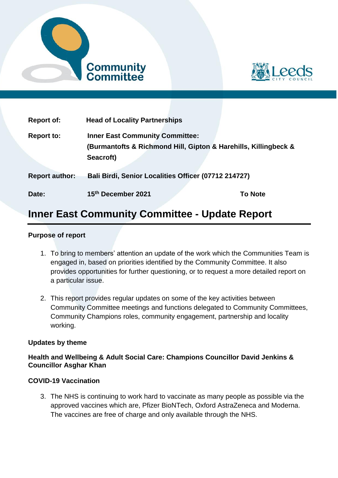



| <b>Report of:</b>     | <b>Head of Locality Partnerships</b>                                                                      |                |
|-----------------------|-----------------------------------------------------------------------------------------------------------|----------------|
| <b>Report to:</b>     | <b>Inner East Community Committee:</b><br>(Burmantofts & Richmond Hill, Gipton & Harehills, Killingbeck & |                |
|                       | Seacroft)                                                                                                 |                |
| <b>Report author:</b> | Bali Birdi, Senior Localities Officer (07712 214727)                                                      |                |
| Date:                 | 15th December 2021                                                                                        | <b>To Note</b> |

# **Inner East Community Committee - Update Report**

## **Purpose of report**

- 1. To bring to members' attention an update of the work which the Communities Team is engaged in, based on priorities identified by the Community Committee. It also provides opportunities for further questioning, or to request a more detailed report on a particular issue.
- 2. This report provides regular updates on some of the key activities between Community Committee meetings and functions delegated to Community Committees, Community Champions roles, community engagement, partnership and locality working.

#### **Updates by theme**

#### **Health and Wellbeing & Adult Social Care: Champions Councillor David Jenkins & Councillor Asghar Khan**

#### **COVID-19 Vaccination**

3. The NHS is continuing to work hard to vaccinate as many people as possible via the approved vaccines which are, Pfizer BioNTech, Oxford AstraZeneca and Moderna. The vaccines are free of charge and only available through the NHS.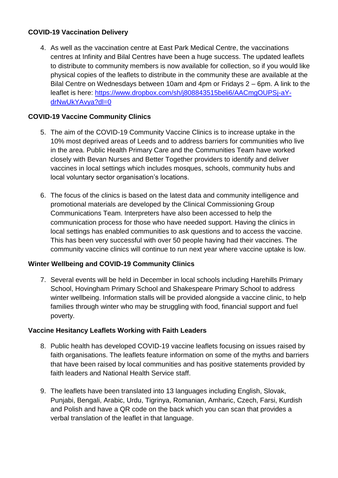## **COVID-19 Vaccination Delivery**

4. As well as the vaccination centre at East Park Medical Centre, the vaccinations centres at Infinity and Bilal Centres have been a huge success. The updated leaflets to distribute to community members is now available for collection, so if you would like physical copies of the leaflets to distribute in the community these are available at the Bilal Centre on Wednesdays between 10am and 4pm or Fridays 2 – 6pm. A link to the leaflet is here: [https://www.dropbox.com/sh/j808843515beli6/AACmgOUPSj-aY](https://www.dropbox.com/sh/j808843515beli6/AACmgOUPSj-aY-drNwUkYAvya?dl=0)[drNwUkYAvya?dl=0](https://www.dropbox.com/sh/j808843515beli6/AACmgOUPSj-aY-drNwUkYAvya?dl=0)

# **COVID-19 Vaccine Community Clinics**

- 5. The aim of the COVID-19 Community Vaccine Clinics is to increase uptake in the 10% most deprived areas of Leeds and to address barriers for communities who live in the area. Public Health Primary Care and the Communities Team have worked closely with Bevan Nurses and Better Together providers to identify and deliver vaccines in local settings which includes mosques, schools, community hubs and local voluntary sector organisation's locations.
- 6. The focus of the clinics is based on the latest data and community intelligence and promotional materials are developed by the Clinical Commissioning Group Communications Team. Interpreters have also been accessed to help the communication process for those who have needed support. Having the clinics in local settings has enabled communities to ask questions and to access the vaccine. This has been very successful with over 50 people having had their vaccines. The community vaccine clinics will continue to run next year where vaccine uptake is low.

# **Winter Wellbeing and COVID-19 Community Clinics**

7. Several events will be held in December in local schools including Harehills Primary School, Hovingham Primary School and Shakespeare Primary School to address winter wellbeing. Information stalls will be provided alongside a vaccine clinic, to help families through winter who may be struggling with food, financial support and fuel poverty.

# **Vaccine Hesitancy Leaflets Working with Faith Leaders**

- 8. Public health has developed COVID-19 vaccine leaflets focusing on issues raised by faith organisations. The leaflets feature information on some of the myths and barriers that have been raised by local communities and has positive statements provided by faith leaders and National Health Service staff.
- 9. The leaflets have been translated into 13 languages including English, Slovak, Punjabi, Bengali, Arabic, Urdu, Tigrinya, Romanian, Amharic, Czech, Farsi, Kurdish and Polish and have a QR code on the back which you can scan that provides a verbal translation of the leaflet in that language.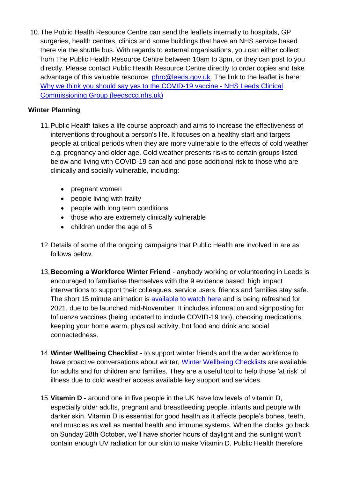10.The Public Health Resource Centre can send the leaflets internally to hospitals, GP surgeries, health centres, clinics and some buildings that have an NHS service based there via the shuttle bus. With regards to external organisations, you can either collect from The Public Health Resource Centre between 10am to 3pm, or they can post to you directly. Please contact Public Health Resource Centre directly to order copies and take advantage of this valuable resource: *phrc@leeds.gov.uk*. The link to the leaflet is here: [Why we think you should say yes to the COVID-19 vaccine -](https://www.leedsccg.nhs.uk/health/coronavirus/covid-19-vaccine/information-for-local-communities-about-covid-19-vaccine/why-we-think-you-should-say-yes-to-the-covid-19-vaccine/) NHS Leeds Clinical [Commissioning Group \(leedsccg.nhs.uk\)](https://www.leedsccg.nhs.uk/health/coronavirus/covid-19-vaccine/information-for-local-communities-about-covid-19-vaccine/why-we-think-you-should-say-yes-to-the-covid-19-vaccine/)

## **Winter Planning**

- 11.Public Health takes a life course approach and aims to increase the effectiveness of interventions throughout a person's life. It focuses on a healthy start and targets people at critical periods when they are more vulnerable to the effects of cold weather e.g. pregnancy and older age. Cold weather presents risks to certain groups listed below and living with COVID-19 can add and pose additional risk to those who are clinically and socially vulnerable, including:
	- pregnant women
	- people living with frailty
	- people with long term conditions
	- those who are extremely clinically vulnerable
	- children under the age of 5
- 12.Details of some of the ongoing campaigns that Public Health are involved in are as follows below.
- 13.**Becoming a Workforce Winter Friend** anybody working or volunteering in Leeds is encouraged to familiarise themselves with the 9 evidence based, high impact interventions to support their colleagues, service users, friends and families stay safe. The short 15 minute animation is [available to watch here](https://youtu.be/tdM2hLwWImY) and is being refreshed for 2021, due to be launched mid-November. It includes information and signposting for Influenza vaccines (being updated to include COVID-19 too), checking medications, keeping your home warm, physical activity, hot food and drink and social connectedness.
- 14.**Winter Wellbeing Checklist** to support winter friends and the wider workforce to have proactive conversations about winter, [Winter Wellbeing Checklists](https://www.leeds.gov.uk/phrc/public-health-training/winter-wellbeing-checklists) are available for adults and for children and families. They are a useful tool to help those 'at risk' of illness due to cold weather access available key support and services.
- 15.**Vitamin D** around one in five people in the UK have low levels of vitamin D, especially older adults, pregnant and breastfeeding people, infants and people with darker skin. Vitamin D is essential for good health as it affects people's bones, teeth, and muscles as well as mental health and immune systems. When the clocks go back on Sunday 28th October, we'll have shorter hours of daylight and the sunlight won't contain enough UV radiation for our skin to make Vitamin D. Public Health therefore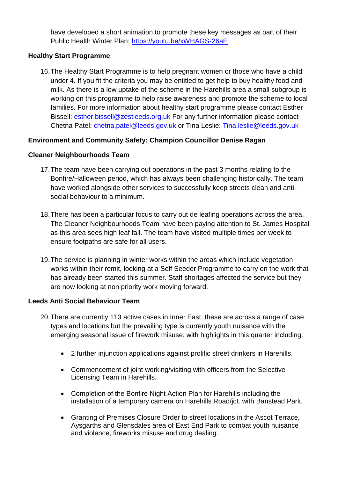have developed a short animation to promote these key messages as part of their Public Health Winter Plan:<https://youtu.be/xWHAGS-26aE>

## **Healthy Start Programme**

16.The Healthy Start Programme is to help pregnant women or those who have a child under 4. If you fit the criteria you may be entitled to get help to buy healthy food and milk. As there is a low uptake of the scheme in the Harehills area a small subgroup is working on this programme to help raise awareness and promote the scheme to local families. For more information about healthy start programme please contact Esther Bissell: [esther.bissell@zestleeds.org.uk](mailto:esther.bissell@zestleeds.org.uk) For any further information please contact Chetna Patel: [chetna.patel@leeds.gov.uk](file:///C:/Users/20159626/AppData/Local/Microsoft/Windows/INetCache/Content.Outlook/ZR285HMH/chetna.patel@leeds.gov.uk) or Tina Leslie: [Tina.leslie@leeds.gov.uk](file:///C:/Users/20159626/AppData/Local/Microsoft/Windows/INetCache/Content.Outlook/ZR285HMH/Tina.leslie@leeds.gov.uk)

## **Environment and Community Safety: Champion Councillor Denise Ragan**

## **Cleaner Neighbourhoods Team**

- 17.The team have been carrying out operations in the past 3 months relating to the Bonfire/Halloween period, which has always been challenging historically. The team have worked alongside other services to successfully keep streets clean and antisocial behaviour to a minimum.
- 18.There has been a particular focus to carry out de leafing operations across the area. The Cleaner Neighbourhoods Team have been paying attention to St. James Hospital as this area sees high leaf fall. The team have visited multiple times per week to ensure footpaths are safe for all users.
- 19.The service is planning in winter works within the areas which include vegetation works within their remit, looking at a Self Seeder Programme to carry on the work that has already been started this summer. Staff shortages affected the service but they are now looking at non priority work moving forward.

## **Leeds Anti Social Behaviour Team**

- 20.There are currently 113 active cases in Inner East, these are across a range of case types and locations but the prevailing type is currently youth nuisance with the emerging seasonal issue of firework misuse, with highlights in this quarter including:
	- 2 further injunction applications against prolific street drinkers in Harehills.
	- Commencement of joint working/visiting with officers from the Selective Licensing Team in Harehills.
	- Completion of the Bonfire Night Action Plan for Harehills including the installation of a temporary camera on Harehills Road/jct. with Banstead Park.
	- Granting of Premises Closure Order to street locations in the Ascot Terrace, Aysgarths and Glensdales area of East End Park to combat youth nuisance and violence, fireworks misuse and drug dealing.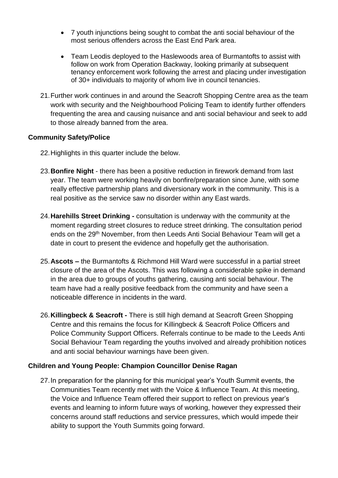- 7 youth injunctions being sought to combat the anti social behaviour of the most serious offenders across the East End Park area.
- Team Leodis deployed to the Haslewoods area of Burmantofts to assist with follow on work from Operation Backway, looking primarily at subsequent tenancy enforcement work following the arrest and placing under investigation of 30+ individuals to majority of whom live in council tenancies.
- 21.Further work continues in and around the Seacroft Shopping Centre area as the team work with security and the Neighbourhood Policing Team to identify further offenders frequenting the area and causing nuisance and anti social behaviour and seek to add to those already banned from the area.

## **Community Safety/Police**

- 22.Highlights in this quarter include the below.
- 23.**Bonfire Night** there has been a positive reduction in firework demand from last year. The team were working heavily on bonfire/preparation since June, with some really effective partnership plans and diversionary work in the community. This is a real positive as the service saw no disorder within any East wards.
- 24.**Harehills Street Drinking -** consultation is underway with the community at the moment regarding street closures to reduce street drinking. The consultation period ends on the 29<sup>th</sup> November, from then Leeds Anti Social Behaviour Team will get a date in court to present the evidence and hopefully get the authorisation.
- 25.**Ascots –** the Burmantofts & Richmond Hill Ward were successful in a partial street closure of the area of the Ascots. This was following a considerable spike in demand in the area due to groups of youths gathering, causing anti social behaviour. The team have had a really positive feedback from the community and have seen a noticeable difference in incidents in the ward.
- 26.**Killingbeck & Seacroft -** There is still high demand at Seacroft Green Shopping Centre and this remains the focus for Killingbeck & Seacroft Police Officers and Police Community Support Officers. Referrals continue to be made to the Leeds Anti Social Behaviour Team regarding the youths involved and already prohibition notices and anti social behaviour warnings have been given.

# **Children and Young People: Champion Councillor Denise Ragan**

27.In preparation for the planning for this municipal year's Youth Summit events, the Communities Team recently met with the Voice & Influence Team. At this meeting, the Voice and Influence Team offered their support to reflect on previous year's events and learning to inform future ways of working, however they expressed their concerns around staff reductions and service pressures, which would impede their ability to support the Youth Summits going forward.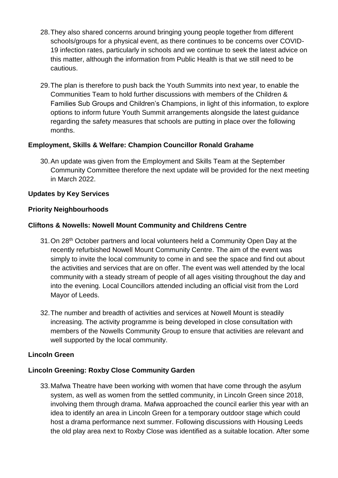- 28.They also shared concerns around bringing young people together from different schools/groups for a physical event, as there continues to be concerns over COVID-19 infection rates, particularly in schools and we continue to seek the latest advice on this matter, although the information from Public Health is that we still need to be cautious.
- 29.The plan is therefore to push back the Youth Summits into next year, to enable the Communities Team to hold further discussions with members of the Children & Families Sub Groups and Children's Champions, in light of this information, to explore options to inform future Youth Summit arrangements alongside the latest guidance regarding the safety measures that schools are putting in place over the following months.

## **Employment, Skills & Welfare: Champion Councillor Ronald Grahame**

30.An update was given from the Employment and Skills Team at the September Community Committee therefore the next update will be provided for the next meeting in March 2022.

## **Updates by Key Services**

## **Priority Neighbourhoods**

## **Cliftons & Nowells: Nowell Mount Community and Childrens Centre**

- 31.On 28th October partners and local volunteers held a Community Open Day at the recently refurbished Nowell Mount Community Centre. The aim of the event was simply to invite the local community to come in and see the space and find out about the activities and services that are on offer. The event was well attended by the local community with a steady stream of people of all ages visiting throughout the day and into the evening. Local Councillors attended including an official visit from the Lord Mayor of Leeds.
- 32.The number and breadth of activities and services at Nowell Mount is steadily increasing. The activity programme is being developed in close consultation with members of the Nowells Community Group to ensure that activities are relevant and well supported by the local community.

## **Lincoln Green**

## **Lincoln Greening: Roxby Close Community Garden**

33.Mafwa Theatre have been working with women that have come through the asylum system, as well as women from the settled community, in Lincoln Green since 2018, involving them through drama. Mafwa approached the council earlier this year with an idea to identify an area in Lincoln Green for a temporary outdoor stage which could host a drama performance next summer. Following discussions with Housing Leeds the old play area next to Roxby Close was identified as a suitable location. After some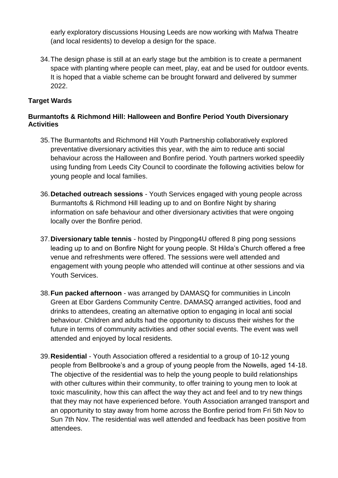early exploratory discussions Housing Leeds are now working with Mafwa Theatre (and local residents) to develop a design for the space.

34.The design phase is still at an early stage but the ambition is to create a permanent space with planting where people can meet, play, eat and be used for outdoor events. It is hoped that a viable scheme can be brought forward and delivered by summer 2022.

## **Target Wards**

## **Burmantofts & Richmond Hill: Halloween and Bonfire Period Youth Diversionary Activities**

- 35.The Burmantofts and Richmond Hill Youth Partnership collaboratively explored preventative diversionary activities this year, with the aim to reduce anti social behaviour across the Halloween and Bonfire period. Youth partners worked speedily using funding from Leeds City Council to coordinate the following activities below for young people and local families.
- 36.**Detached outreach sessions** Youth Services engaged with young people across Burmantofts & Richmond Hill leading up to and on Bonfire Night by sharing information on safe behaviour and other diversionary activities that were ongoing locally over the Bonfire period.
- 37.**Diversionary table tennis** hosted by Pingpong4U offered 8 ping pong sessions leading up to and on Bonfire Night for young people. St Hilda's Church offered a free venue and refreshments were offered. The sessions were well attended and engagement with young people who attended will continue at other sessions and via Youth Services.
- 38.**Fun packed afternoon** was arranged by DAMASQ for communities in Lincoln Green at Ebor Gardens Community Centre. DAMASQ arranged activities, food and drinks to attendees, creating an alternative option to engaging in local anti social behaviour. Children and adults had the opportunity to discuss their wishes for the future in terms of community activities and other social events. The event was well attended and enjoyed by local residents.
- 39.**Residential** Youth Association offered a residential to a group of 10-12 young people from Bellbrooke's and a group of young people from the Nowells, aged 14-18. The objective of the residential was to help the young people to build relationships with other cultures within their community, to offer training to young men to look at toxic masculinity, how this can affect the way they act and feel and to try new things that they may not have experienced before. Youth Association arranged transport and an opportunity to stay away from home across the Bonfire period from Fri 5th Nov to Sun 7th Nov. The residential was well attended and feedback has been positive from attendees.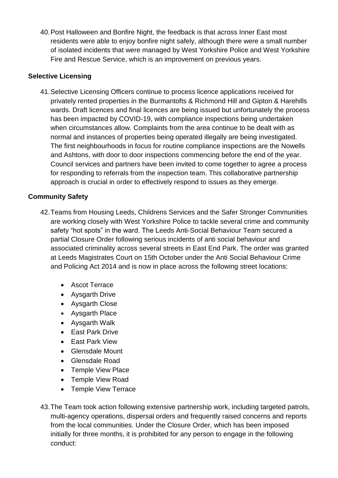40.Post Halloween and Bonfire Night, the feedback is that across Inner East most residents were able to enjoy bonfire night safely, although there were a small number of isolated incidents that were managed by West Yorkshire Police and West Yorkshire Fire and Rescue Service, which is an improvement on previous years.

## **Selective Licensing**

41.Selective Licensing Officers continue to process licence applications received for privately rented properties in the Burmantofts & Richmond Hill and Gipton & Harehills wards. Draft licences and final licences are being issued but unfortunately the process has been impacted by COVID-19, with compliance inspections being undertaken when circumstances allow. Complaints from the area continue to be dealt with as normal and instances of properties being operated illegally are being investigated. The first neighbourhoods in focus for routine compliance inspections are the Nowells and Ashtons, with door to door inspections commencing before the end of the year. Council services and partners have been invited to come together to agree a process for responding to referrals from the inspection team. This collaborative partnership approach is crucial in order to effectively respond to issues as they emerge.

## **Community Safety**

- 42.Teams from Housing Leeds, Childrens Services and the Safer Stronger Communities are working closely with West Yorkshire Police to tackle several crime and community safety "hot spots" in the ward. The Leeds Anti-Social Behaviour Team secured a partial Closure Order following serious incidents of anti social behaviour and associated criminality across several streets in East End Park. The order was granted at Leeds Magistrates Court on 15th October under the Anti Social Behaviour Crime and Policing Act 2014 and is now in place across the following street locations:
	- Ascot Terrace
	- Aysgarth Drive
	- Avsgarth Close
	- Aysgarth Place
	- Aysgarth Walk
	- East Park Drive
	- East Park View
	- Glensdale Mount
	- Glensdale Road
	- Temple View Place
	- Temple View Road
	- Temple View Terrace
- 43.The Team took action following extensive partnership work, including targeted patrols, multi-agency operations, dispersal orders and frequently raised concerns and reports from the local communities. Under the Closure Order, which has been imposed initially for three months, it is prohibited for any person to engage in the following conduct: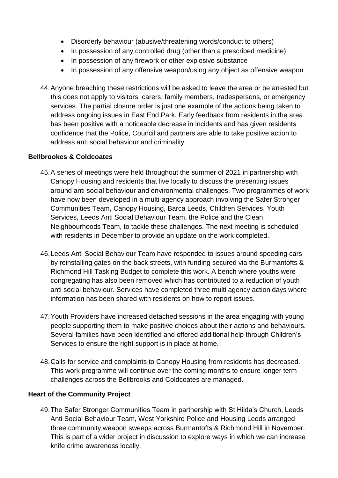- Disorderly behaviour (abusive/threatening words/conduct to others)
- In possession of any controlled drug (other than a prescribed medicine)
- In possession of any firework or other explosive substance
- In possession of any offensive weapon/using any object as offensive weapon
- 44.Anyone breaching these restrictions will be asked to leave the area or be arrested but this does not apply to visitors, carers, family members, tradespersons, or emergency services. The partial closure order is just one example of the actions being taken to address ongoing issues in East End Park. Early feedback from residents in the area has been positive with a noticeable decrease in incidents and has given residents confidence that the Police, Council and partners are able to take positive action to address anti social behaviour and criminality.

## **Bellbrookes & Coldcoates**

- 45.A series of meetings were held throughout the summer of 2021 in partnership with Canopy Housing and residents that live locally to discuss the presenting issues around anti social behaviour and environmental challenges. Two programmes of work have now been developed in a multi-agency approach involving the Safer Stronger Communities Team, Canopy Housing, Barca Leeds, Children Services, Youth Services, Leeds Anti Social Behaviour Team, the Police and the Clean Neighbourhoods Team, to tackle these challenges. The next meeting is scheduled with residents in December to provide an update on the work completed.
- 46.Leeds Anti Social Behaviour Team have responded to issues around speeding cars by reinstalling gates on the back streets, with funding secured via the Burmantofts & Richmond Hill Tasking Budget to complete this work. A bench where youths were congregating has also been removed which has contributed to a reduction of youth anti social behaviour. Services have completed three multi agency action days where information has been shared with residents on how to report issues.
- 47.Youth Providers have increased detached sessions in the area engaging with young people supporting them to make positive choices about their actions and behaviours. Several families have been identified and offered additional help through Children's Services to ensure the right support is in place at home.
- 48.Calls for service and complaints to Canopy Housing from residents has decreased. This work programme will continue over the coming months to ensure longer term challenges across the Bellbrooks and Coldcoates are managed.

## **Heart of the Community Project**

49.The Safer Stronger Communities Team in partnership with St Hilda's Church, Leeds Anti Social Behaviour Team, West Yorkshire Police and Housing Leeds arranged three community weapon sweeps across Burmantofts & Richmond Hill in November. This is part of a wider project in discussion to explore ways in which we can increase knife crime awareness locally.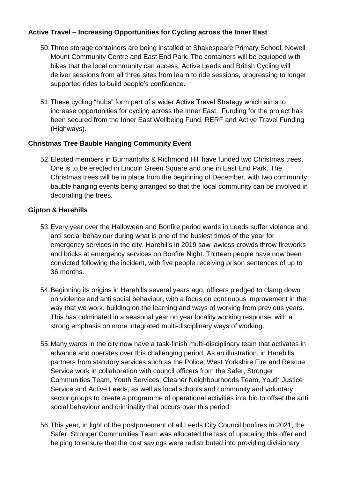## **Active Travel – Increasing Opportunities for Cycling across the Inner East**

- 50.Three storage containers are being installed at Shakespeare Primary School, Nowell Mount Community Centre and East End Park. The containers will be equipped with bikes that the local community can access. Active Leeds and British Cycling will deliver sessions from all three sites from learn to ride sessions, progressing to longer supported rides to build people's confidence.
- 51.These cycling "hubs" form part of a wider Active Travel Strategy which aims to increase opportunities for cycling across the Inner East. Funding for the project has been secured from the Inner East Wellbeing Fund, RERF and Active Travel Funding (Highways).

## **Christmas Tree Bauble Hanging Community Event**

52.Elected members in Burmantofts & Richmond Hill have funded two Christmas trees. One is to be erected in Lincoln Green Square and one in East End Park. The Christmas trees will be in place from the beginning of December, with two community bauble hanging events being arranged so that the local community can be involved in decorating the trees.

## **Gipton & Harehills**

- 53.Every year over the Halloween and Bonfire period wards in Leeds suffer violence and anti social behaviour during what is one of the busiest times of the year for emergency services in the city. Harehills in 2019 saw lawless crowds throw fireworks and bricks at emergency services on Bonfire Night. Thirteen people have now been convicted following the incident, with five people receiving prison sentences of up to 36 months.
- 54.Beginning its origins in Harehills several years ago, officers pledged to clamp down on violence and anti social behaviour, with a focus on continuous improvement in the way that we work, building on the learning and ways of working from previous years. This has culminated in a seasonal year on year locality working response, with a strong emphasis on more integrated multi-disciplinary ways of working.
- 55.Many wards in the city now have a task-finish multi-disciplinary team that activates in advance and operates over this challenging period. As an illustration, in Harehills partners from statutory services such as the Police, West Yorkshire Fire and Rescue Service work in collaboration with council officers from the Safer, Stronger Communities Team, Youth Services, Cleaner Neighbourhoods Team, Youth Justice Service and Active Leeds, as well as local schools and community and voluntary sector groups to create a programme of operational activities in a bid to offset the anti social behaviour and criminality that occurs over this period.
- 56.This year, in light of the postponement of all Leeds City Council bonfires in 2021, the Safer, Stronger Communities Team was allocated the task of upscaling this offer and helping to ensure that the cost savings were redistributed into providing divisionary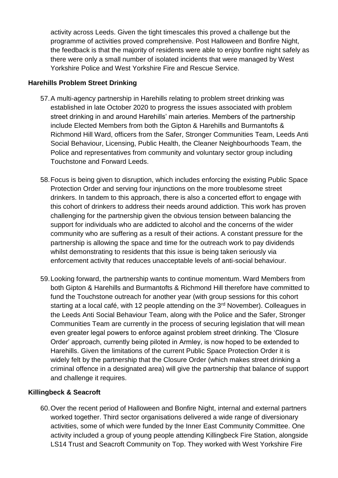activity across Leeds. Given the tight timescales this proved a challenge but the programme of activities proved comprehensive. Post Halloween and Bonfire Night, the feedback is that the majority of residents were able to enjoy bonfire night safely as there were only a small number of isolated incidents that were managed by West Yorkshire Police and West Yorkshire Fire and Rescue Service.

#### **Harehills Problem Street Drinking**

- 57.A multi-agency partnership in Harehills relating to problem street drinking was established in late October 2020 to progress the issues associated with problem street drinking in and around Harehills' main arteries. Members of the partnership include Elected Members from both the Gipton & Harehills and Burmantofts & Richmond Hill Ward, officers from the Safer, Stronger Communities Team, Leeds Anti Social Behaviour, Licensing, Public Health, the Cleaner Neighbourhoods Team, the Police and representatives from community and voluntary sector group including Touchstone and Forward Leeds.
- 58.Focus is being given to disruption, which includes enforcing the existing Public Space Protection Order and serving four injunctions on the more troublesome street drinkers. In tandem to this approach, there is also a concerted effort to engage with this cohort of drinkers to address their needs around addiction. This work has proven challenging for the partnership given the obvious tension between balancing the support for individuals who are addicted to alcohol and the concerns of the wider community who are suffering as a result of their actions. A constant pressure for the partnership is allowing the space and time for the outreach work to pay dividends whilst demonstrating to residents that this issue is being taken seriously via enforcement activity that reduces unacceptable levels of anti-social behaviour.
- 59.Looking forward, the partnership wants to continue momentum. Ward Members from both Gipton & Harehills and Burmantofts & Richmond Hill therefore have committed to fund the Touchstone outreach for another year (with group sessions for this cohort starting at a local café, with 12 people attending on the 3<sup>rd</sup> November). Colleagues in the Leeds Anti Social Behaviour Team, along with the Police and the Safer, Stronger Communities Team are currently in the process of securing legislation that will mean even greater legal powers to enforce against problem street drinking. The 'Closure Order' approach, currently being piloted in Armley, is now hoped to be extended to Harehills. Given the limitations of the current Public Space Protection Order it is widely felt by the partnership that the Closure Order (which makes street drinking a criminal offence in a designated area) will give the partnership that balance of support and challenge it requires.

## **Killingbeck & Seacroft**

60.Over the recent period of Halloween and Bonfire Night, internal and external partners worked together. Third sector organisations delivered a wide range of diversionary activities, some of which were funded by the Inner East Community Committee. One activity included a group of young people attending Killingbeck Fire Station, alongside LS14 Trust and Seacroft Community on Top. They worked with West Yorkshire Fire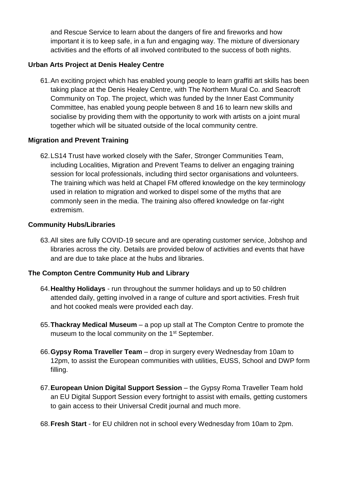and Rescue Service to learn about the dangers of fire and fireworks and how important it is to keep safe, in a fun and engaging way. The mixture of diversionary activities and the efforts of all involved contributed to the success of both nights.

## **Urban Arts Project at Denis Healey Centre**

61.An exciting project which has enabled young people to learn graffiti art skills has been taking place at the Denis Healey Centre, with The Northern Mural Co. and Seacroft Community on Top. The project, which was funded by the Inner East Community Committee, has enabled young people between 8 and 16 to learn new skills and socialise by providing them with the opportunity to work with artists on a joint mural together which will be situated outside of the local community centre.

#### **Migration and Prevent Training**

62.LS14 Trust have worked closely with the Safer, Stronger Communities Team, including Localities, Migration and Prevent Teams to deliver an engaging training session for local professionals, including third sector organisations and volunteers. The training which was held at Chapel FM offered knowledge on the key terminology used in relation to migration and worked to dispel some of the myths that are commonly seen in the media. The training also offered knowledge on far-right extremism.

#### **Community Hubs/Libraries**

63.All sites are fully COVID-19 secure and are operating customer service, Jobshop and libraries across the city. Details are provided below of activities and events that have and are due to take place at the hubs and libraries.

#### **The Compton Centre Community Hub and Library**

- 64.**Healthy Holidays** run throughout the summer holidays and up to 50 children attended daily, getting involved in a range of culture and sport activities. Fresh fruit and hot cooked meals were provided each day.
- 65.**Thackray Medical Museum** a pop up stall at The Compton Centre to promote the museum to the local community on the 1<sup>st</sup> September.
- 66.**Gypsy Roma Traveller Team** drop in surgery every Wednesday from 10am to 12pm, to assist the European communities with utilities, EUSS, School and DWP form filling.
- 67.**European Union Digital Support Session** the Gypsy Roma Traveller Team hold an EU Digital Support Session every fortnight to assist with emails, getting customers to gain access to their Universal Credit journal and much more.
- 68.**Fresh Start** for EU children not in school every Wednesday from 10am to 2pm.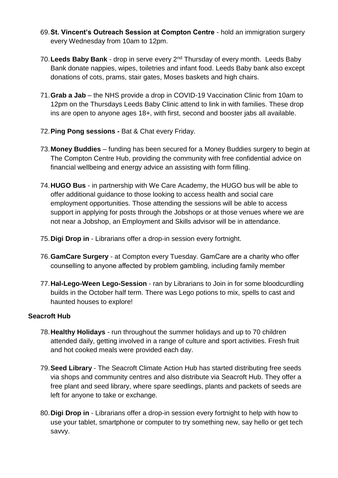- 69.**St. Vincent's Outreach Session at Compton Centre** hold an immigration surgery every Wednesday from 10am to 12pm.
- 70.**Leeds Baby Bank** drop in serve every 2nd Thursday of every month. Leeds Baby Bank donate nappies, wipes, toiletries and infant food. Leeds Baby bank also except donations of cots, prams, stair gates, Moses baskets and high chairs.
- 71.**Grab a Jab** the NHS provide a drop in COVID-19 Vaccination Clinic from 10am to 12pm on the Thursdays Leeds Baby Clinic attend to link in with families. These drop ins are open to anyone ages 18+, with first, second and booster jabs all available.
- 72.**Ping Pong sessions -** Bat & Chat every Friday.
- 73.**Money Buddies** funding has been secured for a Money Buddies surgery to begin at The Compton Centre Hub, providing the community with free confidential advice on financial wellbeing and energy advice an assisting with form filling.
- 74.**HUGO Bus** in partnership with We Care Academy, the HUGO bus will be able to offer additional guidance to those looking to access health and social care employment opportunities. Those attending the sessions will be able to access support in applying for posts through the Jobshops or at those venues where we are not near a Jobshop, an Employment and Skills advisor will be in attendance.
- 75.**Digi Drop in** Librarians offer a drop-in session every fortnight.
- 76.**GamCare Surgery** at Compton every Tuesday. GamCare are a charity who offer counselling to anyone affected by problem gambling, including family member
- 77.**Hal-Lego-Ween Lego-Session** ran by Librarians to Join in for some bloodcurdling builds in the October half term. There was Lego potions to mix, spells to cast and haunted houses to explore!

# **Seacroft Hub**

- 78.**Healthy Holidays** run throughout the summer holidays and up to 70 children attended daily, getting involved in a range of culture and sport activities. Fresh fruit and hot cooked meals were provided each day.
- 79.**Seed Library** The Seacroft Climate Action Hub has started distributing free seeds via shops and community centres and also distribute via Seacroft Hub. They offer a free plant and seed library, where spare seedlings, plants and packets of seeds are left for anyone to take or exchange.
- 80.**Digi Drop in** Librarians offer a drop-in session every fortnight to help with how to use your tablet, smartphone or computer to try something new, say hello or get tech savvy.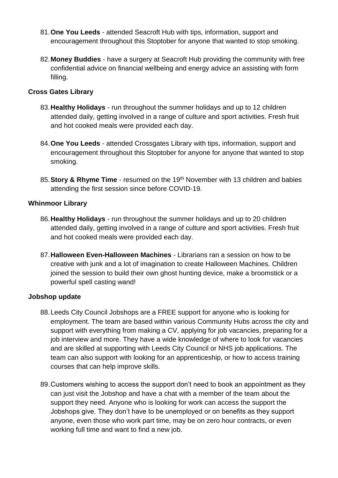- 81.**One You Leeds** attended Seacroft Hub with tips, information, support and encouragement throughout this Stoptober for anyone that wanted to stop smoking.
- 82.**Money Buddies** have a surgery at Seacroft Hub providing the community with free confidential advice on financial wellbeing and energy advice an assisting with form filling.

#### **Cross Gates Library**

- 83.**Healthy Holidays** run throughout the summer holidays and up to 12 children attended daily, getting involved in a range of culture and sport activities. Fresh fruit and hot cooked meals were provided each day.
- 84.**One You Leeds** attended Crossgates Library with tips, information, support and encouragement throughout this Stoptober for anyone for anyone that wanted to stop smoking.
- 85.**Story & Rhyme Time** resumed on the 19th November with 13 children and babies attending the first session since before COVID-19.

#### **Whinmoor Library**

- 86.**Healthy Holidays** run throughout the summer holidays and up to 20 children attended daily, getting involved in a range of culture and sport activities. Fresh fruit and hot cooked meals were provided each day.
- 87.**Halloween Even-Halloween Machines** Librarians ran a session on how to be creative with junk and a lot of imagination to create Halloween Machines. Children joined the session to build their own ghost hunting device, make a broomstick or a powerful spell casting wand!

#### **Jobshop update**

- 88.Leeds City Council Jobshops are a FREE support for anyone who is looking for employment. The team are based within various Community Hubs across the city and support with everything from making a CV, applying for job vacancies, preparing for a job interview and more. They have a wide knowledge of where to look for vacancies and are skilled at supporting with Leeds City Council or NHS job applications. The team can also support with looking for an apprenticeship, or how to access training courses that can help improve skills.
- 89.Customers wishing to access the support don't need to book an appointment as they can just visit the Jobshop and have a chat with a member of the team about the support they need. Anyone who is looking for work can access the support the Jobshops give. They don't have to be unemployed or on benefits as they support anyone, even those who work part time, may be on zero hour contracts, or even working full time and want to find a new job.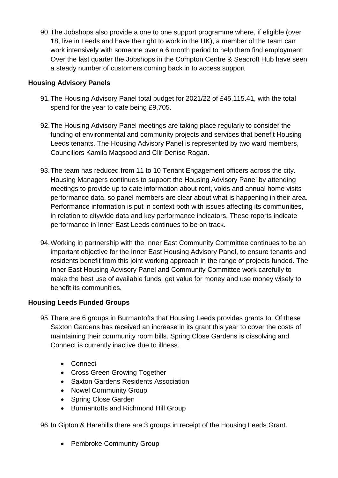90.The Jobshops also provide a one to one support programme where, if eligible (over 18, live in Leeds and have the right to work in the UK), a member of the team can work intensively with someone over a 6 month period to help them find employment. Over the last quarter the Jobshops in the Compton Centre & Seacroft Hub have seen a steady number of customers coming back in to access support

## **Housing Advisory Panels**

- 91.The Housing Advisory Panel total budget for 2021/22 of £45,115.41, with the total spend for the year to date being £9,705.
- 92.The Housing Advisory Panel meetings are taking place regularly to consider the funding of environmental and community projects and services that benefit Housing Leeds tenants. The Housing Advisory Panel is represented by two ward members, Councillors Kamila Maqsood and Cllr Denise Ragan.
- 93.The team has reduced from 11 to 10 Tenant Engagement officers across the city. Housing Managers continues to support the Housing Advisory Panel by attending meetings to provide up to date information about rent, voids and annual home visits performance data, so panel members are clear about what is happening in their area. Performance information is put in context both with issues affecting its communities, in relation to citywide data and key performance indicators. These reports indicate performance in Inner East Leeds continues to be on track.
- 94.Working in partnership with the Inner East Community Committee continues to be an important objective for the Inner East Housing Advisory Panel, to ensure tenants and residents benefit from this joint working approach in the range of projects funded. The Inner East Housing Advisory Panel and Community Committee work carefully to make the best use of available funds, get value for money and use money wisely to benefit its communities.

# **Housing Leeds Funded Groups**

- 95.There are 6 groups in Burmantofts that Housing Leeds provides grants to. Of these Saxton Gardens has received an increase in its grant this year to cover the costs of maintaining their community room bills. Spring Close Gardens is dissolving and Connect is currently inactive due to illness.
	- Connect
	- Cross Green Growing Together
	- Saxton Gardens Residents Association
	- Nowel Community Group
	- Spring Close Garden
	- Burmantofts and Richmond Hill Group

96.In Gipton & Harehills there are 3 groups in receipt of the Housing Leeds Grant.

• Pembroke Community Group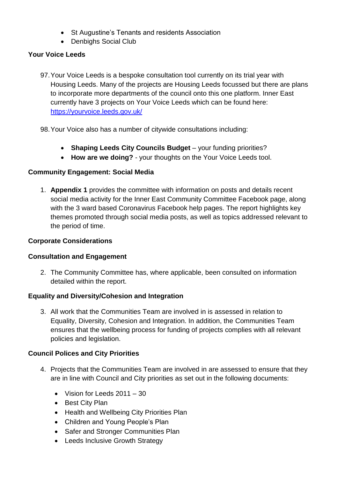- St Augustine's Tenants and residents Association
- Denbighs Social Club

# **Your Voice Leeds**

- 97.Your Voice Leeds is a bespoke consultation tool currently on its trial year with Housing Leeds. Many of the projects are Housing Leeds focussed but there are plans to incorporate more departments of the council onto this one platform. Inner East currently have 3 projects on Your Voice Leeds which can be found here: <https://yourvoice.leeds.gov.uk/>
- 98.Your Voice also has a number of citywide consultations including:
	- **Shaping Leeds City Councils Budget** your funding priorities?
	- **How are we doing?** your thoughts on the Your Voice Leeds tool.

## **Community Engagement: Social Media**

1. **Appendix 1** provides the committee with information on posts and details recent social media activity for the Inner East Community Committee Facebook page, along with the 3 ward based Coronavirus Facebook help pages. The report highlights key themes promoted through social media posts, as well as topics addressed relevant to the period of time.

## **Corporate Considerations**

## **Consultation and Engagement**

2. The Community Committee has, where applicable, been consulted on information detailed within the report.

# **Equality and Diversity/Cohesion and Integration**

3. All work that the Communities Team are involved in is assessed in relation to Equality, Diversity, Cohesion and Integration. In addition, the Communities Team ensures that the wellbeing process for funding of projects complies with all relevant policies and legislation.

## **Council Polices and City Priorities**

- 4. Projects that the Communities Team are involved in are assessed to ensure that they are in line with Council and City priorities as set out in the following documents:
	- Vision for Leeds 2011 30
	- Best City Plan
	- Health and Wellbeing City Priorities Plan
	- Children and Young People's Plan
	- Safer and Stronger Communities Plan
	- Leeds Inclusive Growth Strategy